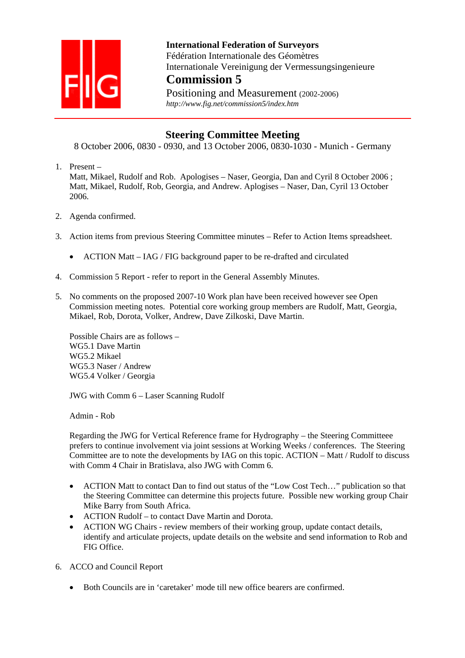

 **International Federation of Surveyors**  Fédération Internationale des Géomètres Internationale Vereinigung der Vermessungsingenieure **Commission 5**

Positioning and Measurement (2002-2006)  *http://www.fig.net/commission5/index.htm* 

## **Steering Committee Meeting**

8 October 2006, 0830 - 0930, and 13 October 2006, 0830-1030 - Munich - Germany

1. Present –

Matt, Mikael, Rudolf and Rob. Apologises – Naser, Georgia, Dan and Cyril 8 October 2006 ; Matt, Mikael, Rudolf, Rob, Georgia, and Andrew. Aplogises – Naser, Dan, Cyril 13 October 2006.

- 2. Agenda confirmed.
- 3. Action items from previous Steering Committee minutes Refer to Action Items spreadsheet.
	- ACTION Matt IAG / FIG background paper to be re-drafted and circulated
- 4. Commission 5 Report refer to report in the General Assembly Minutes.
- 5. No comments on the proposed 2007-10 Work plan have been received however see Open Commission meeting notes. Potential core working group members are Rudolf, Matt, Georgia, Mikael, Rob, Dorota, Volker, Andrew, Dave Zilkoski, Dave Martin.

Possible Chairs are as follows – WG5.1 Dave Martin WG5.2 Mikael WG5.3 Naser / Andrew WG5.4 Volker / Georgia

JWG with Comm 6 – Laser Scanning Rudolf

Admin - Rob

Regarding the JWG for Vertical Reference frame for Hydrography – the Steering Committeee prefers to continue involvement via joint sessions at Working Weeks / conferences. The Steering Committee are to note the developments by IAG on this topic. ACTION – Matt / Rudolf to discuss with Comm 4 Chair in Bratislava, also JWG with Comm 6.

- ACTION Matt to contact Dan to find out status of the "Low Cost Tech..." publication so that the Steering Committee can determine this projects future. Possible new working group Chair Mike Barry from South Africa.
- ACTION Rudolf to contact Dave Martin and Dorota.
- ACTION WG Chairs review members of their working group, update contact details, identify and articulate projects, update details on the website and send information to Rob and FIG Office.
- 6. ACCO and Council Report
	- Both Councils are in 'caretaker' mode till new office bearers are confirmed.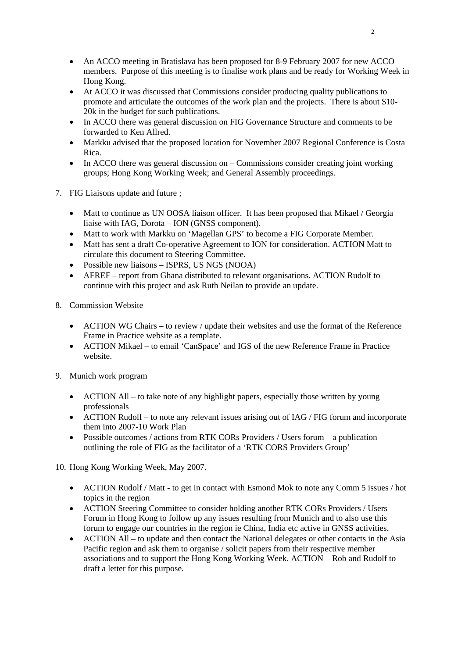- An ACCO meeting in Bratislava has been proposed for 8-9 February 2007 for new ACCO members. Purpose of this meeting is to finalise work plans and be ready for Working Week in Hong Kong.
- At ACCO it was discussed that Commissions consider producing quality publications to promote and articulate the outcomes of the work plan and the projects. There is about \$10- 20k in the budget for such publications.
- In ACCO there was general discussion on FIG Governance Structure and comments to be forwarded to Ken Allred.
- Markku advised that the proposed location for November 2007 Regional Conference is Costa Rica.
- In ACCO there was general discussion on Commissions consider creating joint working groups; Hong Kong Working Week; and General Assembly proceedings.
- 7. FIG Liaisons update and future ;
	- Matt to continue as UN OOSA liaison officer. It has been proposed that Mikael / Georgia liaise with IAG, Dorota – ION (GNSS component).
	- Matt to work with Markku on 'Magellan GPS' to become a FIG Corporate Member.
	- Matt has sent a draft Co-operative Agreement to ION for consideration. ACTION Matt to circulate this document to Steering Committee.
	- Possible new liaisons ISPRS, US NGS (NOOA)
	- AFREF report from Ghana distributed to relevant organisations. ACTION Rudolf to continue with this project and ask Ruth Neilan to provide an update.
- 8. Commission Website
	- ACTION WG Chairs to review / update their websites and use the format of the Reference Frame in Practice website as a template.
	- ACTION Mikael to email 'CanSpace' and IGS of the new Reference Frame in Practice website.
- 9. Munich work program
	- ACTION All to take note of any highlight papers, especially those written by young professionals
	- ACTION Rudolf to note any relevant issues arising out of IAG / FIG forum and incorporate them into 2007-10 Work Plan
	- Possible outcomes / actions from RTK CORs Providers / Users forum a publication outlining the role of FIG as the facilitator of a 'RTK CORS Providers Group'

10. Hong Kong Working Week, May 2007.

- ACTION Rudolf / Matt to get in contact with Esmond Mok to note any Comm 5 issues / hot topics in the region
- ACTION Steering Committee to consider holding another RTK CORs Providers / Users Forum in Hong Kong to follow up any issues resulting from Munich and to also use this forum to engage our countries in the region ie China, India etc active in GNSS activities.
- ACTION All to update and then contact the National delegates or other contacts in the Asia Pacific region and ask them to organise / solicit papers from their respective member associations and to support the Hong Kong Working Week. ACTION – Rob and Rudolf to draft a letter for this purpose.